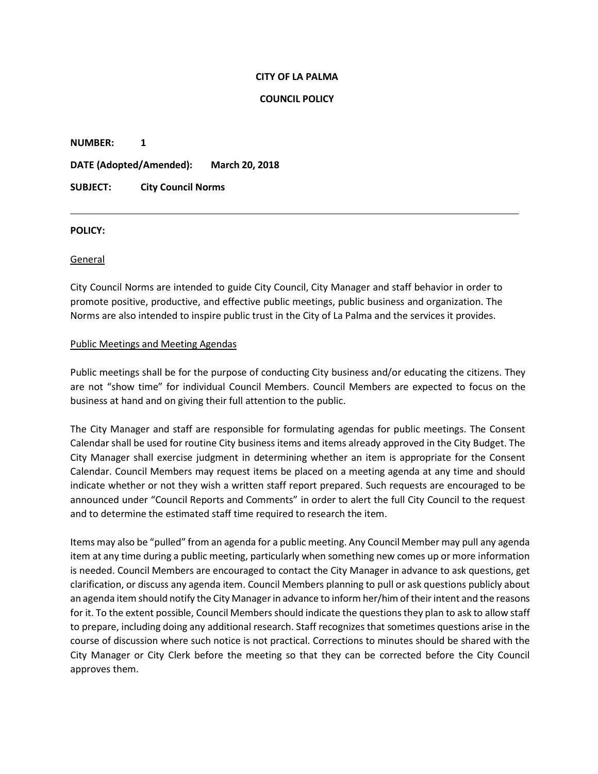#### **CITY OF LA PALMA**

#### **COUNCIL POLICY**

**NUMBER: 1**

**DATE (Adopted/Amended): March 20, 2018**

# **SUBJECT: City Council Norms**

#### **POLICY:**

## General

City Council Norms are intended to guide City Council, City Manager and staff behavior in order to promote positive, productive, and effective public meetings, public business and organization. The Norms are also intended to inspire public trust in the City of La Palma and the services it provides.

## Public Meetings and Meeting Agendas

Public meetings shall be for the purpose of conducting City business and/or educating the citizens. They are not "show time" for individual Council Members. Council Members are expected to focus on the business at hand and on giving their full attention to the public.

The City Manager and staff are responsible for formulating agendas for public meetings. The Consent Calendar shall be used for routine City business items and items already approved in the City Budget. The City Manager shall exercise judgment in determining whether an item is appropriate for the Consent Calendar. Council Members may request items be placed on a meeting agenda at any time and should indicate whether or not they wish a written staff report prepared. Such requests are encouraged to be announced under "Council Reports and Comments" in order to alert the full City Council to the request and to determine the estimated staff time required to research the item.

Items may also be "pulled" from an agenda for a public meeting. Any Council Member may pull any agenda item at any time during a public meeting, particularly when something new comes up or more information is needed. Council Members are encouraged to contact the City Manager in advance to ask questions, get clarification, or discuss any agenda item. Council Members planning to pull or ask questions publicly about an agenda item should notify the City Managerin advance to inform her/him of their intent and the reasons for it. To the extent possible, Council Members should indicate the questions they plan to ask to allow staff to prepare, including doing any additional research. Staff recognizes that sometimes questions arise in the course of discussion where such notice is not practical. Corrections to minutes should be shared with the City Manager or City Clerk before the meeting so that they can be corrected before the City Council approves them.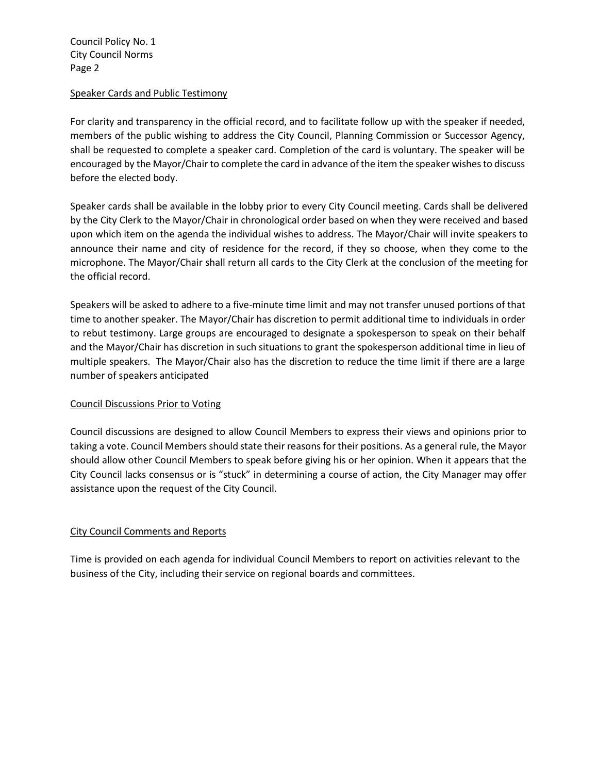#### Speaker Cards and Public Testimony

For clarity and transparency in the official record, and to facilitate follow up with the speaker if needed, members of the public wishing to address the City Council, Planning Commission or Successor Agency, shall be requested to complete a speaker card. Completion of the card is voluntary. The speaker will be encouraged by the Mayor/Chair to complete the card in advance of the item the speaker wishesto discuss before the elected body.

Speaker cards shall be available in the lobby prior to every City Council meeting. Cards shall be delivered by the City Clerk to the Mayor/Chair in chronological order based on when they were received and based upon which item on the agenda the individual wishes to address. The Mayor/Chair will invite speakers to announce their name and city of residence for the record, if they so choose, when they come to the microphone. The Mayor/Chair shall return all cards to the City Clerk at the conclusion of the meeting for the official record.

Speakers will be asked to adhere to a five-minute time limit and may not transfer unused portions of that time to another speaker. The Mayor/Chair has discretion to permit additional time to individuals in order to rebut testimony. Large groups are encouraged to designate a spokesperson to speak on their behalf and the Mayor/Chair has discretion in such situations to grant the spokesperson additional time in lieu of multiple speakers. The Mayor/Chair also has the discretion to reduce the time limit if there are a large number of speakers anticipated

## Council Discussions Prior to Voting

Council discussions are designed to allow Council Members to express their views and opinions prior to taking a vote. Council Members should state their reasons for their positions. As a general rule, the Mayor should allow other Council Members to speak before giving his or her opinion. When it appears that the City Council lacks consensus or is "stuck" in determining a course of action, the City Manager may offer assistance upon the request of the City Council.

## City Council Comments and Reports

Time is provided on each agenda for individual Council Members to report on activities relevant to the business of the City, including their service on regional boards and committees.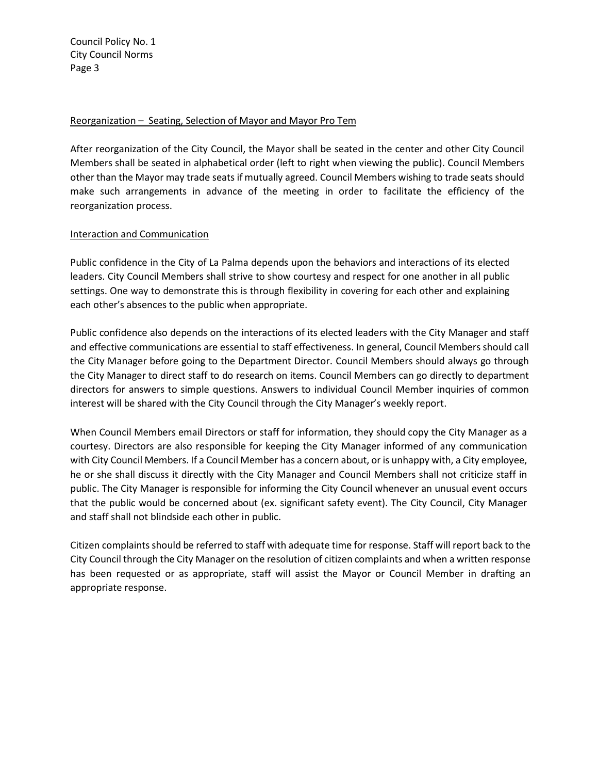#### Reorganization – Seating, Selection of Mayor and Mayor Pro Tem

After reorganization of the City Council, the Mayor shall be seated in the center and other City Council Members shall be seated in alphabetical order (left to right when viewing the public). Council Members other than the Mayor may trade seats if mutually agreed. Council Members wishing to trade seats should make such arrangements in advance of the meeting in order to facilitate the efficiency of the reorganization process.

## Interaction and Communication

Public confidence in the City of La Palma depends upon the behaviors and interactions of its elected leaders. City Council Members shall strive to show courtesy and respect for one another in all public settings. One way to demonstrate this is through flexibility in covering for each other and explaining each other's absences to the public when appropriate.

Public confidence also depends on the interactions of its elected leaders with the City Manager and staff and effective communications are essential to staff effectiveness. In general, Council Members should call the City Manager before going to the Department Director. Council Members should always go through the City Manager to direct staff to do research on items. Council Members can go directly to department directors for answers to simple questions. Answers to individual Council Member inquiries of common interest will be shared with the City Council through the City Manager's weekly report.

When Council Members email Directors or staff for information, they should copy the City Manager as a courtesy. Directors are also responsible for keeping the City Manager informed of any communication with City Council Members. If a Council Member has a concern about, or is unhappy with, a City employee, he or she shall discuss it directly with the City Manager and Council Members shall not criticize staff in public. The City Manager is responsible for informing the City Council whenever an unusual event occurs that the public would be concerned about (ex. significant safety event). The City Council, City Manager and staff shall not blindside each other in public.

Citizen complaints should be referred to staff with adequate time for response. Staff will report back to the City Council through the City Manager on the resolution of citizen complaints and when a written response has been requested or as appropriate, staff will assist the Mayor or Council Member in drafting an appropriate response.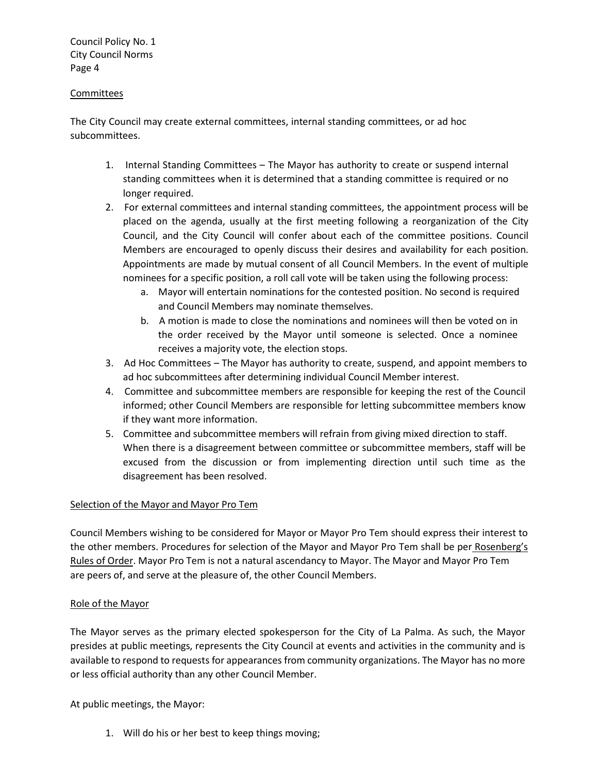#### Committees

The City Council may create external committees, internal standing committees, or ad hoc subcommittees.

- 1. Internal Standing Committees The Mayor has authority to create or suspend internal standing committees when it is determined that a standing committee is required or no longer required.
- 2. For external committees and internal standing committees, the appointment process will be placed on the agenda, usually at the first meeting following a reorganization of the City Council, and the City Council will confer about each of the committee positions. Council Members are encouraged to openly discuss their desires and availability for each position. Appointments are made by mutual consent of all Council Members. In the event of multiple nominees for a specific position, a roll call vote will be taken using the following process:
	- a. Mayor will entertain nominations for the contested position. No second is required and Council Members may nominate themselves.
	- b. A motion is made to close the nominations and nominees will then be voted on in the order received by the Mayor until someone is selected. Once a nominee receives a majority vote, the election stops.
- 3. Ad Hoc Committees The Mayor has authority to create, suspend, and appoint members to ad hoc subcommittees after determining individual Council Member interest.
- 4. Committee and subcommittee members are responsible for keeping the rest of the Council informed; other Council Members are responsible for letting subcommittee members know if they want more information.
- 5. Committee and subcommittee members will refrain from giving mixed direction to staff. When there is a disagreement between committee or subcommittee members, staff will be excused from the discussion or from implementing direction until such time as the disagreement has been resolved.

## Selection of the Mayor and Mayor Pro Tem

Council Members wishing to be considered for Mayor or Mayor Pro Tem should express their interest to the other members. Procedures for selection of the Mayor and Mayor Pro Tem shall be per Rosenberg's Rules of Order. Mayor Pro Tem is not a natural ascendancy to Mayor. The Mayor and Mayor Pro Tem are peers of, and serve at the pleasure of, the other Council Members.

#### Role of the Mayor

The Mayor serves as the primary elected spokesperson for the City of La Palma. As such, the Mayor presides at public meetings, represents the City Council at events and activities in the community and is available to respond to requests for appearances from community organizations. The Mayor has no more or less official authority than any other Council Member.

At public meetings, the Mayor:

1. Will do his or her best to keep things moving;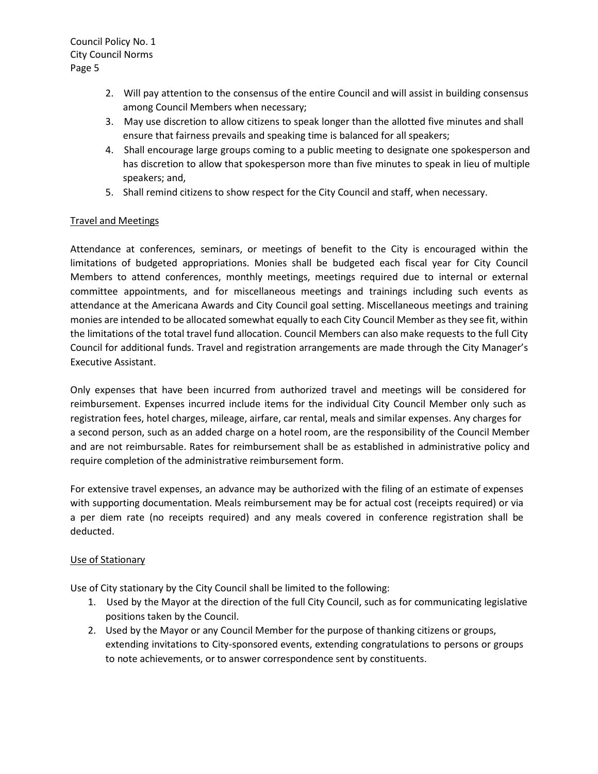- 2. Will pay attention to the consensus of the entire Council and will assist in building consensus among Council Members when necessary;
- 3. May use discretion to allow citizens to speak longer than the allotted five minutes and shall ensure that fairness prevails and speaking time is balanced for all speakers;
- 4. Shall encourage large groups coming to a public meeting to designate one spokesperson and has discretion to allow that spokesperson more than five minutes to speak in lieu of multiple speakers; and,
- 5. Shall remind citizens to show respect for the City Council and staff, when necessary.

# Travel and Meetings

Attendance at conferences, seminars, or meetings of benefit to the City is encouraged within the limitations of budgeted appropriations. Monies shall be budgeted each fiscal year for City Council Members to attend conferences, monthly meetings, meetings required due to internal or external committee appointments, and for miscellaneous meetings and trainings including such events as attendance at the Americana Awards and City Council goal setting. Miscellaneous meetings and training monies are intended to be allocated somewhat equally to each City Council Member as they see fit, within the limitations of the total travel fund allocation. Council Members can also make requests to the full City Council for additional funds. Travel and registration arrangements are made through the City Manager's Executive Assistant.

Only expenses that have been incurred from authorized travel and meetings will be considered for reimbursement. Expenses incurred include items for the individual City Council Member only such as registration fees, hotel charges, mileage, airfare, car rental, meals and similar expenses. Any charges for a second person, such as an added charge on a hotel room, are the responsibility of the Council Member and are not reimbursable. Rates for reimbursement shall be as established in administrative policy and require completion of the administrative reimbursement form.

For extensive travel expenses, an advance may be authorized with the filing of an estimate of expenses with supporting documentation. Meals reimbursement may be for actual cost (receipts required) or via a per diem rate (no receipts required) and any meals covered in conference registration shall be deducted.

## Use of Stationary

Use of City stationary by the City Council shall be limited to the following:

- 1. Used by the Mayor at the direction of the full City Council, such as for communicating legislative positions taken by the Council.
- 2. Used by the Mayor or any Council Member for the purpose of thanking citizens or groups, extending invitations to City-sponsored events, extending congratulations to persons or groups to note achievements, or to answer correspondence sent by constituents.